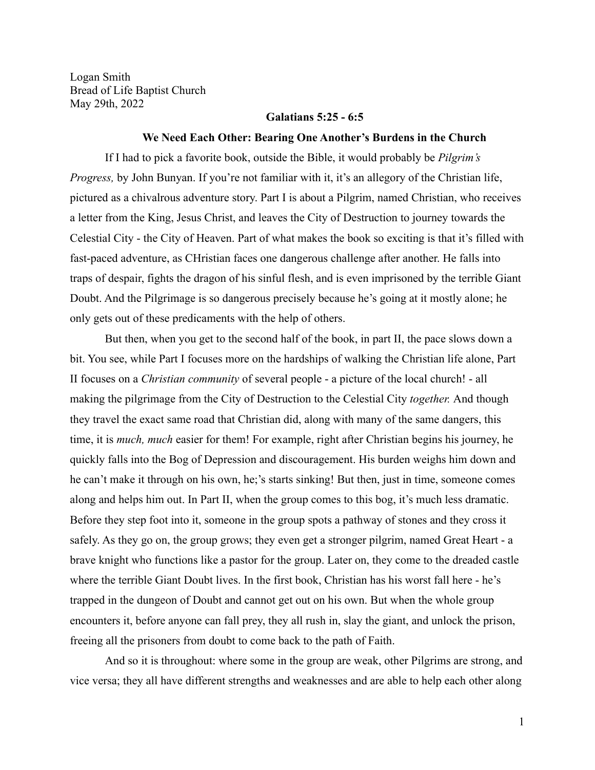Logan Smith Bread of Life Baptist Church May 29th, 2022

#### **Galatians 5:25 - 6:5**

#### **We Need Each Other: Bearing One Another's Burdens in the Church**

If I had to pick a favorite book, outside the Bible, it would probably be *Pilgrim's Progress*, by John Bunyan. If you're not familiar with it, it's an allegory of the Christian life, pictured as a chivalrous adventure story. Part I is about a Pilgrim, named Christian, who receives a letter from the King, Jesus Christ, and leaves the City of Destruction to journey towards the Celestial City - the City of Heaven. Part of what makes the book so exciting is that it's filled with fast-paced adventure, as CHristian faces one dangerous challenge after another. He falls into traps of despair, fights the dragon of his sinful flesh, and is even imprisoned by the terrible Giant Doubt. And the Pilgrimage is so dangerous precisely because he's going at it mostly alone; he only gets out of these predicaments with the help of others.

But then, when you get to the second half of the book, in part II, the pace slows down a bit. You see, while Part I focuses more on the hardships of walking the Christian life alone, Part II focuses on a *Christian community* of several people - a picture of the local church! - all making the pilgrimage from the City of Destruction to the Celestial City *together.* And though they travel the exact same road that Christian did, along with many of the same dangers, this time, it is *much, much* easier for them! For example, right after Christian begins his journey, he quickly falls into the Bog of Depression and discouragement. His burden weighs him down and he can't make it through on his own, he;'s starts sinking! But then, just in time, someone comes along and helps him out. In Part II, when the group comes to this bog, it's much less dramatic. Before they step foot into it, someone in the group spots a pathway of stones and they cross it safely. As they go on, the group grows; they even get a stronger pilgrim, named Great Heart - a brave knight who functions like a pastor for the group. Later on, they come to the dreaded castle where the terrible Giant Doubt lives. In the first book, Christian has his worst fall here - he's trapped in the dungeon of Doubt and cannot get out on his own. But when the whole group encounters it, before anyone can fall prey, they all rush in, slay the giant, and unlock the prison, freeing all the prisoners from doubt to come back to the path of Faith.

And so it is throughout: where some in the group are weak, other Pilgrims are strong, and vice versa; they all have different strengths and weaknesses and are able to help each other along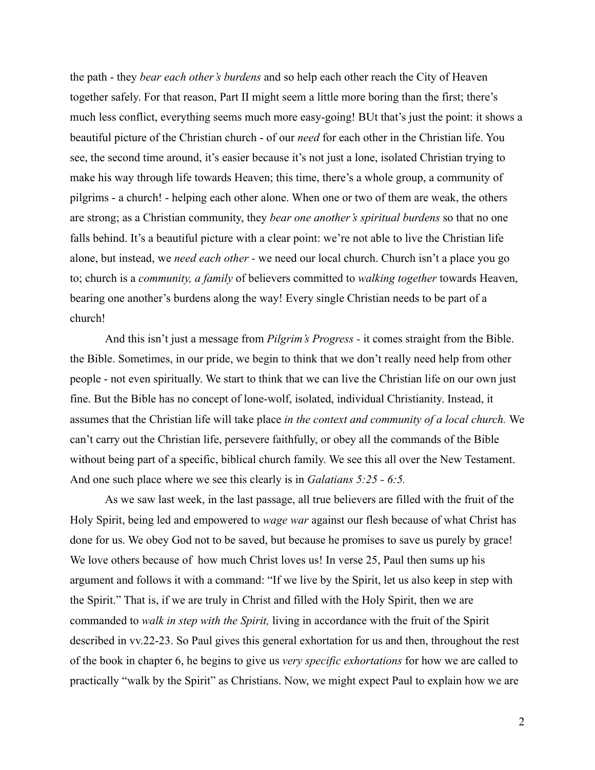the path - they *bear each other's burdens* and so help each other reach the City of Heaven together safely. For that reason, Part II might seem a little more boring than the first; there's much less conflict, everything seems much more easy-going! BUt that's just the point: it shows a beautiful picture of the Christian church - of our *need* for each other in the Christian life. You see, the second time around, it's easier because it's not just a lone, isolated Christian trying to make his way through life towards Heaven; this time, there's a whole group, a community of pilgrims - a church! - helping each other alone. When one or two of them are weak, the others are strong; as a Christian community, they *bear one another's spiritual burdens* so that no one falls behind. It's a beautiful picture with a clear point: we're not able to live the Christian life alone, but instead, we *need each other -* we need our local church. Church isn't a place you go to; church is a *community, a family* of believers committed to *walking together* towards Heaven, bearing one another's burdens along the way! Every single Christian needs to be part of a church!

And this isn't just a message from *Pilgrim's Progress -* it comes straight from the Bible. the Bible. Sometimes, in our pride, we begin to think that we don't really need help from other people - not even spiritually. We start to think that we can live the Christian life on our own just fine. But the Bible has no concept of lone-wolf, isolated, individual Christianity. Instead, it assumes that the Christian life will take place *in the context and community of a local church.* We can't carry out the Christian life, persevere faithfully, or obey all the commands of the Bible without being part of a specific, biblical church family. We see this all over the New Testament. And one such place where we see this clearly is in *Galatians 5:25 - 6:5.*

As we saw last week, in the last passage, all true believers are filled with the fruit of the Holy Spirit, being led and empowered to *wage war* against our flesh because of what Christ has done for us. We obey God not to be saved, but because he promises to save us purely by grace! We love others because of how much Christ loves us! In verse 25, Paul then sums up his argument and follows it with a command: "If we live by the Spirit, let us also keep in step with the Spirit." That is, if we are truly in Christ and filled with the Holy Spirit, then we are commanded to *walk in step with the Spirit,* living in accordance with the fruit of the Spirit described in vv.22-23. So Paul gives this general exhortation for us and then, throughout the rest of the book in chapter 6, he begins to give us *very specific exhortations* for how we are called to practically "walk by the Spirit" as Christians. Now, we might expect Paul to explain how we are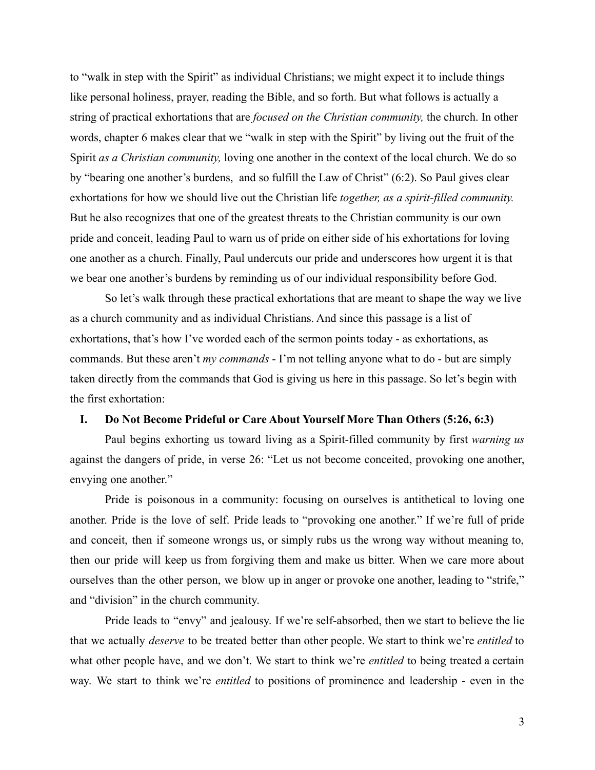to "walk in step with the Spirit" as individual Christians; we might expect it to include things like personal holiness, prayer, reading the Bible, and so forth. But what follows is actually a string of practical exhortations that are *focused on the Christian community,* the church. In other words, chapter 6 makes clear that we "walk in step with the Spirit" by living out the fruit of the Spirit *as a Christian community,* loving one another in the context of the local church. We do so by "bearing one another's burdens, and so fulfill the Law of Christ" (6:2). So Paul gives clear exhortations for how we should live out the Christian life *together, as a spirit-filled community.* But he also recognizes that one of the greatest threats to the Christian community is our own pride and conceit, leading Paul to warn us of pride on either side of his exhortations for loving one another as a church. Finally, Paul undercuts our pride and underscores how urgent it is that we bear one another's burdens by reminding us of our individual responsibility before God.

So let's walk through these practical exhortations that are meant to shape the way we live as a church community and as individual Christians. And since this passage is a list of exhortations, that's how I've worded each of the sermon points today - as exhortations, as commands. But these aren't *my commands* - I'm not telling anyone what to do - but are simply taken directly from the commands that God is giving us here in this passage. So let's begin with the first exhortation:

## **I. Do Not Become Prideful or Care About Yourself More Than Others (5:26, 6:3)**

Paul begins exhorting us toward living as a Spirit-filled community by first *warning us* against the dangers of pride, in verse 26: "Let us not become conceited, provoking one another, envying one another."

Pride is poisonous in a community: focusing on ourselves is antithetical to loving one another. Pride is the love of self. Pride leads to "provoking one another." If we're full of pride and conceit, then if someone wrongs us, or simply rubs us the wrong way without meaning to, then our pride will keep us from forgiving them and make us bitter. When we care more about ourselves than the other person, we blow up in anger or provoke one another, leading to "strife," and "division" in the church community.

Pride leads to "envy" and jealousy. If we're self-absorbed, then we start to believe the lie that we actually *deserve* to be treated better than other people. We start to think we're *entitled* to what other people have, and we don't. We start to think we're *entitled* to being treated a certain way. We start to think we're *entitled* to positions of prominence and leadership - even in the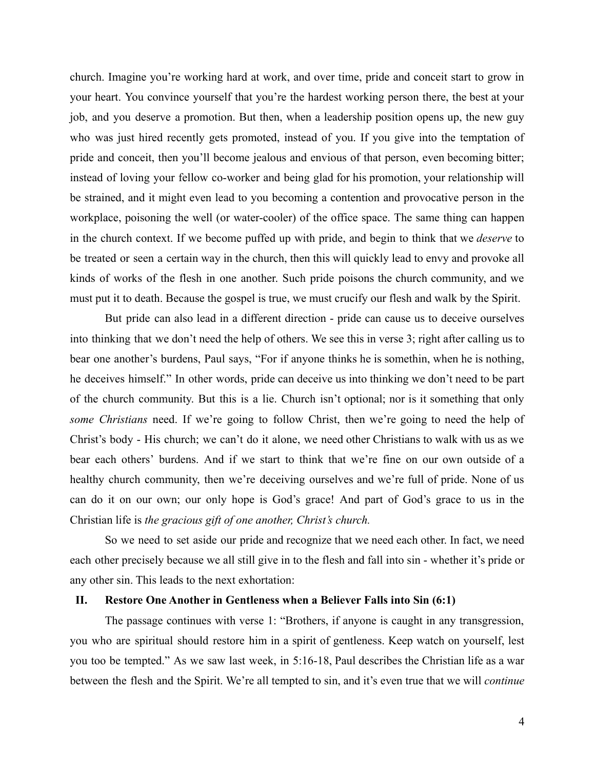church. Imagine you're working hard at work, and over time, pride and conceit start to grow in your heart. You convince yourself that you're the hardest working person there, the best at your job, and you deserve a promotion. But then, when a leadership position opens up, the new guy who was just hired recently gets promoted, instead of you. If you give into the temptation of pride and conceit, then you'll become jealous and envious of that person, even becoming bitter; instead of loving your fellow co-worker and being glad for his promotion, your relationship will be strained, and it might even lead to you becoming a contention and provocative person in the workplace, poisoning the well (or water-cooler) of the office space. The same thing can happen in the church context. If we become puffed up with pride, and begin to think that we *deserve* to be treated or seen a certain way in the church, then this will quickly lead to envy and provoke all kinds of works of the flesh in one another. Such pride poisons the church community, and we must put it to death. Because the gospel is true, we must crucify our flesh and walk by the Spirit.

But pride can also lead in a different direction - pride can cause us to deceive ourselves into thinking that we don't need the help of others. We see this in verse 3; right after calling us to bear one another's burdens, Paul says, "For if anyone thinks he is somethin, when he is nothing, he deceives himself." In other words, pride can deceive us into thinking we don't need to be part of the church community. But this is a lie. Church isn't optional; nor is it something that only *some Christians* need. If we're going to follow Christ, then we're going to need the help of Christ's body - His church; we can't do it alone, we need other Christians to walk with us as we bear each others' burdens. And if we start to think that we're fine on our own outside of a healthy church community, then we're deceiving ourselves and we're full of pride. None of us can do it on our own; our only hope is God's grace! And part of God's grace to us in the Christian life is *the gracious gift of one another, Christ's church.*

So we need to set aside our pride and recognize that we need each other. In fact, we need each other precisely because we all still give in to the flesh and fall into sin - whether it's pride or any other sin. This leads to the next exhortation:

## **II. Restore One Another in Gentleness when a Believer Falls into Sin (6:1)**

The passage continues with verse 1: "Brothers, if anyone is caught in any transgression, you who are spiritual should restore him in a spirit of gentleness. Keep watch on yourself, lest you too be tempted." As we saw last week, in 5:16-18, Paul describes the Christian life as a war between the flesh and the Spirit. We're all tempted to sin, and it's even true that we will *continue*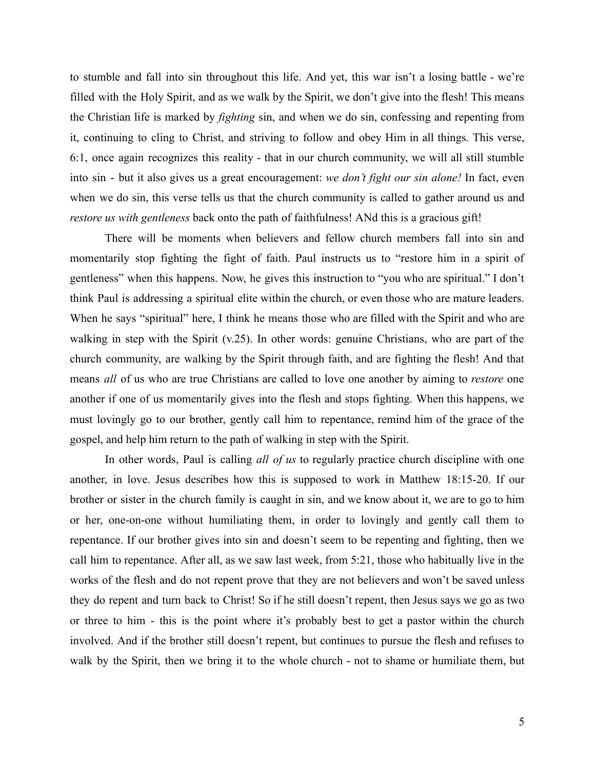to stumble and fall into sin throughout this life. And yet, this war isn't a losing battle - we're filled with the Holy Spirit, and as we walk by the Spirit, we don't give into the flesh! This means the Christian life is marked by *fighting* sin, and when we do sin, confessing and repenting from it, continuing to cling to Christ, and striving to follow and obey Him in all things. This verse, 6:1, once again recognizes this reality - that in our church community, we will all still stumble into sin - but it also gives us a great encouragement: *we don't fight our sin alone!* In fact, even when we do sin, this verse tells us that the church community is called to gather around us and *restore us with gentleness* back onto the path of faithfulness! ANd this is a gracious gift!

There will be moments when believers and fellow church members fall into sin and momentarily stop fighting the fight of faith. Paul instructs us to "restore him in a spirit of gentleness" when this happens. Now, he gives this instruction to "you who are spiritual." I don't think Paul is addressing a spiritual elite within the church, or even those who are mature leaders. When he says "spiritual" here, I think he means those who are filled with the Spirit and who are walking in step with the Spirit (v.25). In other words: genuine Christians, who are part of the church community, are walking by the Spirit through faith, and are fighting the flesh! And that means *all* of us who are true Christians are called to love one another by aiming to *restore* one another if one of us momentarily gives into the flesh and stops fighting. When this happens, we must lovingly go to our brother, gently call him to repentance, remind him of the grace of the gospel, and help him return to the path of walking in step with the Spirit.

In other words, Paul is calling *all of us* to regularly practice church discipline with one another, in love. Jesus describes how this is supposed to work in Matthew 18:15-20. If our brother or sister in the church family is caught in sin, and we know about it, we are to go to him or her, one-on-one without humiliating them, in order to lovingly and gently call them to repentance. If our brother gives into sin and doesn't seem to be repenting and fighting, then we call him to repentance. After all, as we saw last week, from 5:21, those who habitually live in the works of the flesh and do not repent prove that they are not believers and won't be saved unless they do repent and turn back to Christ! So if he still doesn't repent, then Jesus says we go as two or three to him - this is the point where it's probably best to get a pastor within the church involved. And if the brother still doesn't repent, but continues to pursue the flesh and refuses to walk by the Spirit, then we bring it to the whole church - not to shame or humiliate them, but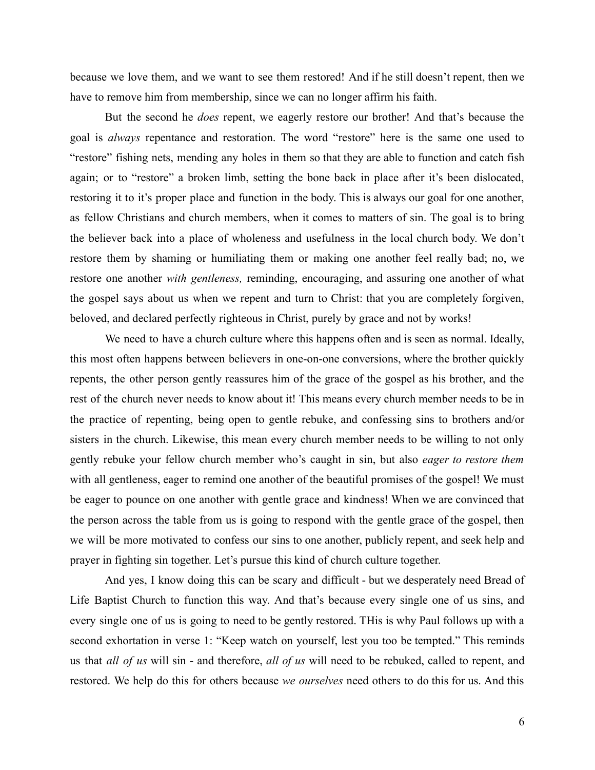because we love them, and we want to see them restored! And if he still doesn't repent, then we have to remove him from membership, since we can no longer affirm his faith.

But the second he *does* repent, we eagerly restore our brother! And that's because the goal is *always* repentance and restoration. The word "restore" here is the same one used to "restore" fishing nets, mending any holes in them so that they are able to function and catch fish again; or to "restore" a broken limb, setting the bone back in place after it's been dislocated, restoring it to it's proper place and function in the body. This is always our goal for one another, as fellow Christians and church members, when it comes to matters of sin. The goal is to bring the believer back into a place of wholeness and usefulness in the local church body. We don't restore them by shaming or humiliating them or making one another feel really bad; no, we restore one another *with gentleness,* reminding, encouraging, and assuring one another of what the gospel says about us when we repent and turn to Christ: that you are completely forgiven, beloved, and declared perfectly righteous in Christ, purely by grace and not by works!

We need to have a church culture where this happens often and is seen as normal. Ideally, this most often happens between believers in one-on-one conversions, where the brother quickly repents, the other person gently reassures him of the grace of the gospel as his brother, and the rest of the church never needs to know about it! This means every church member needs to be in the practice of repenting, being open to gentle rebuke, and confessing sins to brothers and/or sisters in the church. Likewise, this mean every church member needs to be willing to not only gently rebuke your fellow church member who's caught in sin, but also *eager to restore them* with all gentleness, eager to remind one another of the beautiful promises of the gospel! We must be eager to pounce on one another with gentle grace and kindness! When we are convinced that the person across the table from us is going to respond with the gentle grace of the gospel, then we will be more motivated to confess our sins to one another, publicly repent, and seek help and prayer in fighting sin together. Let's pursue this kind of church culture together.

And yes, I know doing this can be scary and difficult - but we desperately need Bread of Life Baptist Church to function this way. And that's because every single one of us sins, and every single one of us is going to need to be gently restored. THis is why Paul follows up with a second exhortation in verse 1: "Keep watch on yourself, lest you too be tempted." This reminds us that *all of us* will sin - and therefore, *all of us* will need to be rebuked, called to repent, and restored. We help do this for others because *we ourselves* need others to do this for us. And this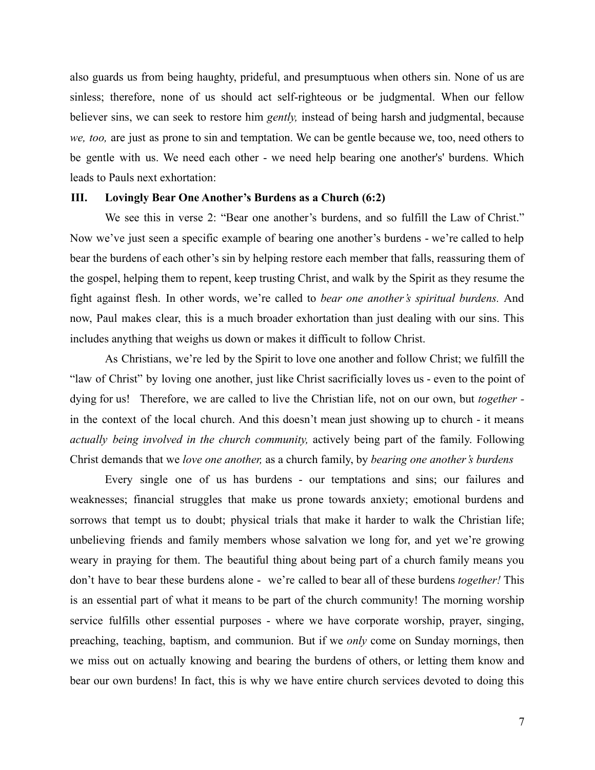also guards us from being haughty, prideful, and presumptuous when others sin. None of us are sinless; therefore, none of us should act self-righteous or be judgmental. When our fellow believer sins, we can seek to restore him *gently,* instead of being harsh and judgmental, because *we, too,* are just as prone to sin and temptation. We can be gentle because we, too, need others to be gentle with us. We need each other - we need help bearing one another's' burdens. Which leads to Pauls next exhortation:

## **III. Lovingly Bear One Another's Burdens as a Church (6:2)**

We see this in verse 2: "Bear one another's burdens, and so fulfill the Law of Christ." Now we've just seen a specific example of bearing one another's burdens - we're called to help bear the burdens of each other's sin by helping restore each member that falls, reassuring them of the gospel, helping them to repent, keep trusting Christ, and walk by the Spirit as they resume the fight against flesh. In other words, we're called to *bear one another's spiritual burdens.* And now, Paul makes clear, this is a much broader exhortation than just dealing with our sins. This includes anything that weighs us down or makes it difficult to follow Christ.

As Christians, we're led by the Spirit to love one another and follow Christ; we fulfill the "law of Christ" by loving one another, just like Christ sacrificially loves us - even to the point of dying for us! Therefore, we are called to live the Christian life, not on our own, but *together*  in the context of the local church. And this doesn't mean just showing up to church - it means *actually being involved in the church community,* actively being part of the family. Following Christ demands that we *love one another,* as a church family, by *bearing one another's burdens*

Every single one of us has burdens - our temptations and sins; our failures and weaknesses; financial struggles that make us prone towards anxiety; emotional burdens and sorrows that tempt us to doubt; physical trials that make it harder to walk the Christian life; unbelieving friends and family members whose salvation we long for, and yet we're growing weary in praying for them. The beautiful thing about being part of a church family means you don't have to bear these burdens alone - we're called to bear all of these burdens *together!* This is an essential part of what it means to be part of the church community! The morning worship service fulfills other essential purposes - where we have corporate worship, prayer, singing, preaching, teaching, baptism, and communion. But if we *only* come on Sunday mornings, then we miss out on actually knowing and bearing the burdens of others, or letting them know and bear our own burdens! In fact, this is why we have entire church services devoted to doing this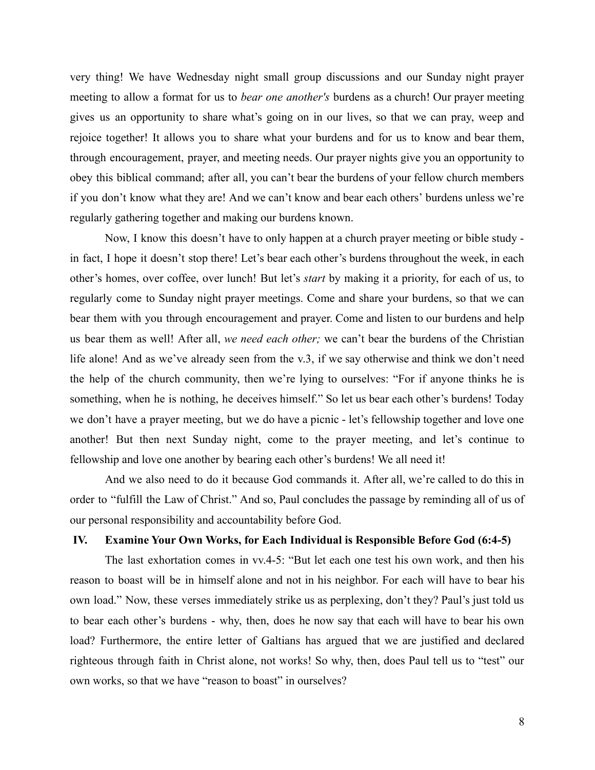very thing! We have Wednesday night small group discussions and our Sunday night prayer meeting to allow a format for us to *bear one another's* burdens as a church! Our prayer meeting gives us an opportunity to share what's going on in our lives, so that we can pray, weep and rejoice together! It allows you to share what your burdens and for us to know and bear them, through encouragement, prayer, and meeting needs. Our prayer nights give you an opportunity to obey this biblical command; after all, you can't bear the burdens of your fellow church members if you don't know what they are! And we can't know and bear each others' burdens unless we're regularly gathering together and making our burdens known.

Now, I know this doesn't have to only happen at a church prayer meeting or bible study in fact, I hope it doesn't stop there! Let's bear each other's burdens throughout the week, in each other's homes, over coffee, over lunch! But let's *start* by making it a priority, for each of us, to regularly come to Sunday night prayer meetings. Come and share your burdens, so that we can bear them with you through encouragement and prayer. Come and listen to our burdens and help us bear them as well! After all, *we need each other;* we can't bear the burdens of the Christian life alone! And as we've already seen from the v.3, if we say otherwise and think we don't need the help of the church community, then we're lying to ourselves: "For if anyone thinks he is something, when he is nothing, he deceives himself." So let us bear each other's burdens! Today we don't have a prayer meeting, but we do have a picnic - let's fellowship together and love one another! But then next Sunday night, come to the prayer meeting, and let's continue to fellowship and love one another by bearing each other's burdens! We all need it!

And we also need to do it because God commands it. After all, we're called to do this in order to "fulfill the Law of Christ." And so, Paul concludes the passage by reminding all of us of our personal responsibility and accountability before God.

# **IV. Examine Your Own Works, for Each Individual is Responsible Before God (6:4-5)**

The last exhortation comes in vv.4-5: "But let each one test his own work, and then his reason to boast will be in himself alone and not in his neighbor. For each will have to bear his own load." Now, these verses immediately strike us as perplexing, don't they? Paul's just told us to bear each other's burdens - why, then, does he now say that each will have to bear his own load? Furthermore, the entire letter of Galtians has argued that we are justified and declared righteous through faith in Christ alone, not works! So why, then, does Paul tell us to "test" our own works, so that we have "reason to boast" in ourselves?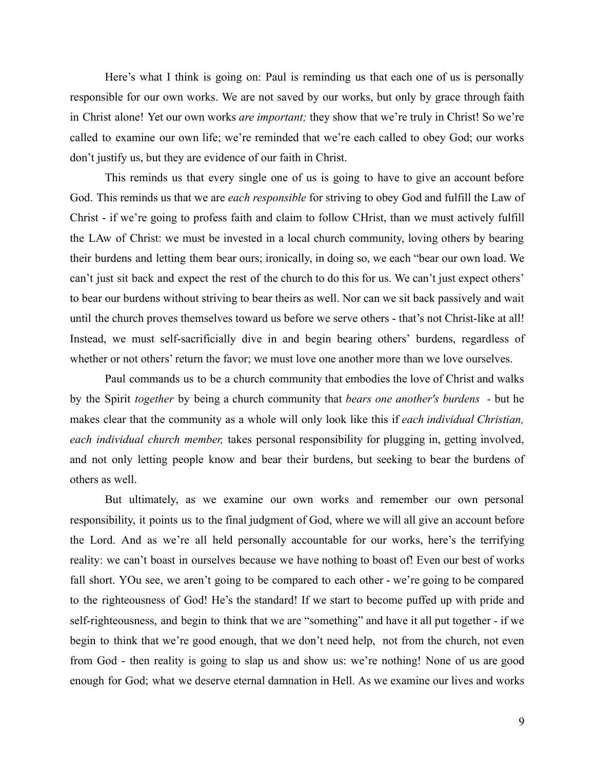Here's what I think is going on: Paul is reminding us that each one of us is personally responsible for our own works. We are not saved by our works, but only by grace through faith in Christ alone! Yet our own works *are important;* they show that we're truly in Christ! So we're called to examine our own life; we're reminded that we're each called to obey God; our works don't justify us, but they are evidence of our faith in Christ.

This reminds us that every single one of us is going to have to give an account before God. This reminds us that we are *each responsible* for striving to obey God and fulfill the Law of Christ - if we're going to profess faith and claim to follow CHrist, than we must actively fulfill the LAw of Christ: we must be invested in a local church community, loving others by bearing their burdens and letting them bear ours; ironically, in doing so, we each "bear our own load. We can't just sit back and expect the rest of the church to do this for us. We can't just expect others' to bear our burdens without striving to bear theirs as well. Nor can we sit back passively and wait until the church proves themselves toward us before we serve others - that's not Christ-like at all! Instead, we must self-sacrificially dive in and begin bearing others' burdens, regardless of whether or not others' return the favor; we must love one another more than we love ourselves.

Paul commands us to be a church community that embodies the love of Christ and walks by the Spirit *together* by being a church community that *bears one another's burdens -* but he makes clear that the community as a whole will only look like this if *each individual Christian, each individual church member,* takes personal responsibility for plugging in, getting involved, and not only letting people know and bear their burdens, but seeking to bear the burdens of others as well.

But ultimately, as we examine our own works and remember our own personal responsibility, it points us to the final judgment of God, where we will all give an account before the Lord. And as we're all held personally accountable for our works, here's the terrifying reality: we can't boast in ourselves because we have nothing to boast of! Even our best of works fall short. YOu see, we aren't going to be compared to each other - we're going to be compared to the righteousness of God! He's the standard! If we start to become puffed up with pride and self-righteousness, and begin to think that we are "something" and have it all put together - if we begin to think that we're good enough, that we don't need help, not from the church, not even from God - then reality is going to slap us and show us: we're nothing! None of us are good enough for God; what we deserve eternal damnation in Hell. As we examine our lives and works